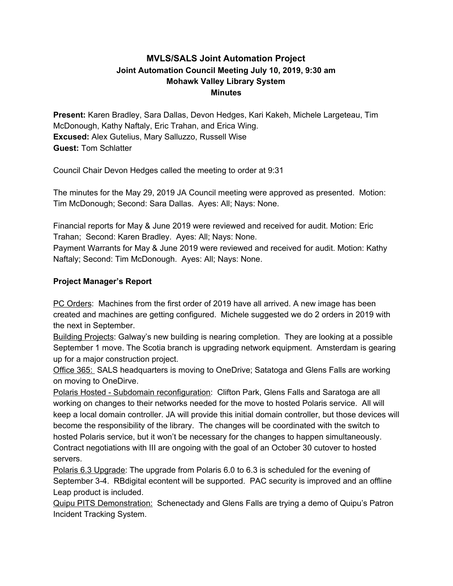# **MVLS/SALS Joint Automation Project Joint Automation Council Meeting July 10, 2019, 9:30 am Mohawk Valley Library System Minutes**

**Present:** Karen Bradley, Sara Dallas, Devon Hedges, Kari Kakeh, Michele Largeteau, Tim McDonough, Kathy Naftaly, Eric Trahan, and Erica Wing. **Excused:** Alex Gutelius, Mary Salluzzo, Russell Wise **Guest:** Tom Schlatter

Council Chair Devon Hedges called the meeting to order at 9:31

The minutes for the May 29, 2019 JA Council meeting were approved as presented. Motion: Tim McDonough; Second: Sara Dallas. Ayes: All; Nays: None.

Financial reports for May & June 2019 were reviewed and received for audit. Motion: Eric Trahan; Second: Karen Bradley. Ayes: All; Nays: None.

Payment Warrants for May & June 2019 were reviewed and received for audit. Motion: Kathy Naftaly; Second: Tim McDonough. Ayes: All; Nays: None.

## **Project Manager's Report**

PC Orders: Machines from the first order of 2019 have all arrived. A new image has been created and machines are getting configured. Michele suggested we do 2 orders in 2019 with the next in September.

Building Projects: Galway's new building is nearing completion. They are looking at a possible September 1 move. The Scotia branch is upgrading network equipment. Amsterdam is gearing up for a major construction project.

Office 365: SALS headquarters is moving to OneDrive; Satatoga and Glens Falls are working on moving to OneDirve.

Polaris Hosted - Subdomain reconfiguration: Clifton Park, Glens Falls and Saratoga are all working on changes to their networks needed for the move to hosted Polaris service. All will keep a local domain controller. JA will provide this initial domain controller, but those devices will become the responsibility of the library. The changes will be coordinated with the switch to hosted Polaris service, but it won't be necessary for the changes to happen simultaneously. Contract negotiations with III are ongoing with the goal of an October 30 cutover to hosted servers.

Polaris 6.3 Upgrade: The upgrade from Polaris 6.0 to 6.3 is scheduled for the evening of September 3-4. RBdigital econtent will be supported. PAC security is improved and an offline Leap product is included.

Quipu PITS Demonstration: Schenectady and Glens Falls are trying a demo of Quipu's Patron Incident Tracking System.